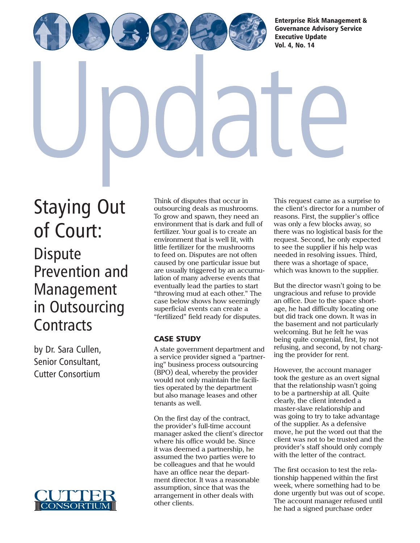[Enterprise Risk Management &](http://www.cutter.com) Governance Advisory Service Executive Update

Vol. 4, No. 14

[Staying Out](http://www.cutter.com) of Court: **Dispute** Prevention and Management in Outsourcing **Contracts** 

by Dr. Sara Cullen, Senior Consultant, Cutter Consortium



Think of disputes that occur in outsourcing deals as mushrooms. To grow and spawn, they need an environment that is dark and full of fertilizer. Your goal is to create an environment that is well lit, with little fertilizer for the mushrooms to feed on. Disputes are not often caused by one particular issue but are usually triggered by an accumulation of many adverse events that eventually lead the parties to start "throwing mud at each other." The case below shows how seemingly superficial events can create a "fertilized" field ready for disputes.

# CASE STUDY

A state government department and a service provider signed a "partnering" business process outsourcing (BPO) deal, whereby the provider would not only maintain the facilities operated by the department but also manage leases and other tenants as well.

On the first day of the contract, the provider's full-time account manager asked the client's director where his office would be. Since it was deemed a partnership, he assumed the two parties were to be colleagues and that he would have an office near the department director. It was a reasonable assumption, since that was the arrangement in other deals with other clients.

This request came as a surprise to the client's director for a number of reasons. First, the supplier's office was only a few blocks away, so there was no logistical basis for the request. Second, he only expected to see the supplier if his help was needed in resolving issues. Third, there was a shortage of space, which was known to the supplier.

But the director wasn't going to be ungracious and refuse to provide an office. Due to the space shortage, he had difficulty locating one but did track one down. It was in the basement and not particularly welcoming. But he felt he was being quite congenial, first, by not refusing, and second, by not charging the provider for rent.

However, the account manager took the gesture as an overt signal that the relationship wasn't going to be a partnership at all. Quite clearly, the client intended a master-slave relationship and was going to try to take advantage of the supplier. As a defensive move, he put the word out that the client was not to be trusted and the provider's staff should only comply with the letter of the contract.

The first occasion to test the relationship happened within the first week, where something had to be done urgently but was out of scope. The account manager refused until he had a signed purchase order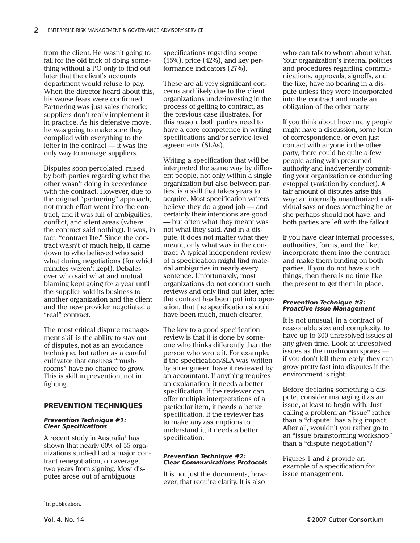from the client. He wasn't going to fall for the old trick of doing something without a PO only to find out later that the client's accounts department would refuse to pay. When the director heard about this, his worse fears were confirmed. Partnering was just sales rhetoric: suppliers don't really implement it in practice. As his defensive move, he was going to make sure they complied with everything to the letter in the contract — it was the only way to manage suppliers.

Disputes soon percolated, raised by both parties regarding what the other wasn't doing in accordance with the contract. However, due to the original "partnering" approach, not much effort went into the contract, and it was full of ambiguities, conflict, and silent areas (where the contract said nothing). It was, in fact, "contract lite." Since the contract wasn't of much help, it came down to who believed who said what during negotiations (for which minutes weren't kept). Debates over who said what and mutual blaming kept going for a year until the supplier sold its business to another organization and the client and the new provider negotiated a "real" contract.

The most critical dispute management skill is the ability to stay out of disputes, not as an avoidance technique, but rather as a careful cultivator that ensures "mushrooms" have no chance to grow. This is skill in prevention, not in fighting.

### PREVENTION TECHNIQUES

#### *Prevention Technique #1: Clear Specifications*

A recent study in Australia<sup>1</sup> has shown that nearly 60% of 55 organizations studied had a major contract renegotiation, on average, two years from signing. Most disputes arose out of ambiguous

specifications regarding scope (55%), price (42%), and key performance indicators (27%).

These are all very significant concerns and likely due to the client organizations underinvesting in the process of getting to contract, as the previous case illustrates. For this reason, both parties need to have a core competence in writing specifications and/or service-level agreements (SLAs).

Writing a specification that will be interpreted the same way by different people, not only within a single organization but also between parties, is a skill that takes years to acquire. Most specification writers believe they do a good job — and certainly their intentions are good — but often what they meant was not what they said. And in a dispute, it does not matter what they meant, only what was in the contract. A typical independent review of a specification might find material ambiguities in nearly every sentence. Unfortunately, most organizations do not conduct such reviews and only find out later, after the contract has been put into operation, that the specification should have been much, much clearer.

The key to a good specification review is that it is done by someone who thinks differently than the person who wrote it. For example, if the specification/SLA was written by an engineer, have it reviewed by an accountant. If anything requires an explanation, it needs a better specification. If the reviewer can offer multiple interpretations of a particular item, it needs a better specification. If the reviewer has to make any assumptions to understand it, it needs a better specification.

#### *Prevention Technique #2: Clear Communications Protocols*

It is not just the documents, however, that require clarity. It is also

who can talk to whom about what. Your organization's internal policies and procedures regarding communications, approvals, signoffs, and the like, have no bearing in a dispute unless they were incorporated into the contract and made an obligation of the other party.

If you think about how many people might have a discussion, some form of correspondence, or even just contact with anyone in the other party, there could be quite a few people acting with presumed authority and inadvertently committing your organization or conducting estoppel (variation by conduct). A fair amount of disputes arise this way: an internally unauthorized individual says or does something he or she perhaps should not have, and both parties are left with the fallout.

If you have clear internal processes, authorities, forms, and the like, incorporate them into the contract and make them binding on both parties. If you do not have such things, then there is no time like the present to get them in place.

#### *Prevention Technique #3: Proactive Issue Management*

It is not unusual, in a contract of reasonable size and complexity, to have up to 300 unresolved issues at any given time. Look at unresolved issues as the mushroom spores if you don't kill them early, they can grow pretty fast into disputes if the environment is right.

Before declaring something a dispute, consider managing it as an issue, at least to begin with. Just calling a problem an "issue" rather than a "dispute" has a big impact. After all, wouldn't you rather go to an "issue brainstorming workshop" than a "dispute negotiation"?

Figures 1 and 2 provide an example of a specification for issue management.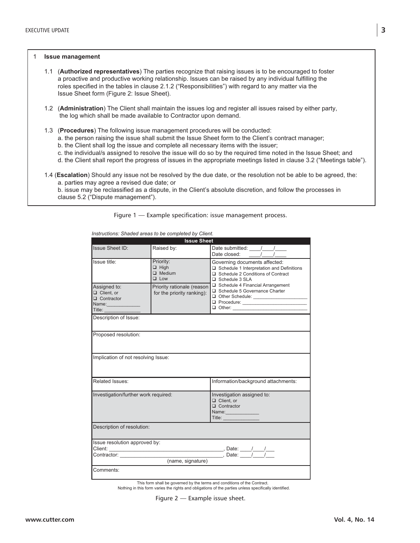#### 1 **Issue management**

- 1.1 (**Authorized representatives**) The parties recognize that raising issues is to be encouraged to foster a proactive and productive working relationship. Issues can be raised by any individual fulfilling the roles specified in the tables in clause 2.1.2 ("Responsibilities") with regard to any matter via the Issue Sheet form (Figure 2: Issue Sheet).
- 1.2 (**Administration**) The Client shall maintain the issues log and register all issues raised by either party, the log which shall be made available to Contractor upon demand.
- 1.3 (**Procedures**) The following issue management procedures will be conducted:
	- a. the person raising the issue shall submit the Issue Sheet form to the Client's contract manager;
	- b. the Client shall log the issue and complete all necessary items with the issuer;
	- c. the individual/s assigned to resolve the issue will do so by the required time noted in the Issue Sheet; and
	- d. the Client shall report the progress of issues in the appropriate meetings listed in clause 3.2 ("Meetings table").
- 1.4 (**Escalation**) Should any issue not be resolved by the due date, or the resolution not be able to be agreed, the: a. parties may agree a revised due date; or
	- b. issue may be reclassified as a dispute, in the Client's absolute discretion, and follow the processes in clause 5.2 ("Dispute management").

Figure 1 — Example specification: issue management process.

| <b>Issue Sheet</b>                                                                                                       |                                                          |                                                                                                                                                                                                                                                                                                               |
|--------------------------------------------------------------------------------------------------------------------------|----------------------------------------------------------|---------------------------------------------------------------------------------------------------------------------------------------------------------------------------------------------------------------------------------------------------------------------------------------------------------------|
| <b>Issue Sheet ID:</b>                                                                                                   | Raised by:                                               |                                                                                                                                                                                                                                                                                                               |
| Issue title:                                                                                                             | Priority:<br>$\Box$ High<br>$\Box$ Medium<br>$\Box$ Low  | Governing documents affected:<br>$\Box$ Schedule 1 Interpretation and Definitions<br>□ Schedule 2 Conditions of Contract<br>Schedule 3 SLA<br>Schedule 4 Financial Arrangement<br>Schedule 5 Governance Charter<br>Other Schedule: ________________                                                           |
| Assigned to:<br>Client, or<br>$\Box$ Contractor<br>Name: 1988<br>Title: <b>The Company of the Company of the Company</b> | Priority rationale (reason<br>for the priority ranking): |                                                                                                                                                                                                                                                                                                               |
| Description of Issue:                                                                                                    |                                                          |                                                                                                                                                                                                                                                                                                               |
| Proposed resolution:                                                                                                     |                                                          |                                                                                                                                                                                                                                                                                                               |
| Implication of not resolving Issue:                                                                                      |                                                          |                                                                                                                                                                                                                                                                                                               |
| Related Issues:                                                                                                          |                                                          | Information/background attachments:                                                                                                                                                                                                                                                                           |
| Investigation/further work required:                                                                                     |                                                          | Investigation assigned to:<br>Client. or<br>$\Box$ Contractor<br>Name: Name<br>Title: The Contract of the Contract of the Contract of the Contract of the Contract of the Contract of the Contract of the Contract of the Contract of the Contract of the Contract of the Contract of the Contract of the Con |
| Description of resolution:                                                                                               |                                                          |                                                                                                                                                                                                                                                                                                               |
| Issue resolution approved by:                                                                                            |                                                          |                                                                                                                                                                                                                                                                                                               |
|                                                                                                                          |                                                          |                                                                                                                                                                                                                                                                                                               |
| (name, signature)                                                                                                        |                                                          |                                                                                                                                                                                                                                                                                                               |
| Comments:                                                                                                                |                                                          |                                                                                                                                                                                                                                                                                                               |
|                                                                                                                          |                                                          |                                                                                                                                                                                                                                                                                                               |

*Instructions: Shaded areas to be completed by Client.*

This form shall be governed by the terms and conditions of the Contract.

Nothing in this form varies the rights and obligations of the parties unless specifically identified.

Figure 2 — Example issue sheet.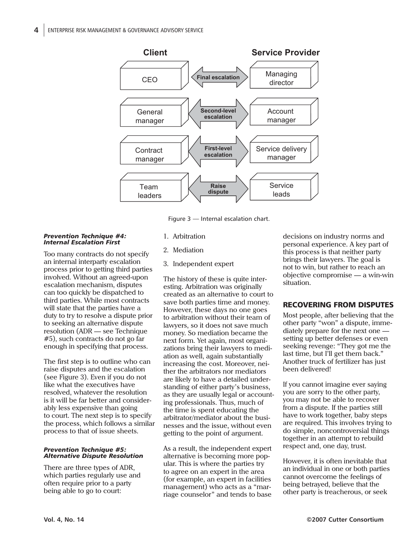

Figure 3 — Internal escalation chart.

#### *Prevention Technique #4: Internal Escalation First*

Too many contracts do not specify an internal interparty escalation process prior to getting third parties involved. Without an agreed-upon escalation mechanism, disputes can too quickly be dispatched to third parties. While most contracts will state that the parties have a duty to try to resolve a dispute prior to seeking an alternative dispute resolution (ADR — see Technique #5), such contracts do not go far enough in specifying that process.

The first step is to outline who can raise disputes and the escalation (see Figure 3). Even if you do not like what the executives have resolved, whatever the resolution is it will be far better and considerably less expensive than going to court. The next step is to specify the process, which follows a similar process to that of issue sheets.

#### *Prevention Technique #5: Alternative Dispute Resolution*

There are three types of ADR, which parties regularly use and often require prior to a party being able to go to court:

- 1. Arbitration
- 2. Mediation
- 3. Independent expert

The history of these is quite interesting. Arbitration was originally created as an alternative to court to save both parties time and money. However, these days no one goes to arbitration without their team of lawyers, so it does not save much money. So mediation became the next form. Yet again, most organizations bring their lawyers to mediation as well, again substantially increasing the cost. Moreover, neither the arbitrators nor mediators are likely to have a detailed understanding of either party's business, as they are usually legal or accounting professionals. Thus, much of the time is spent educating the arbitrator/mediator about the businesses and the issue, without even getting to the point of argument.

As a result, the independent expert alternative is becoming more popular. This is where the parties try to agree on an expert in the area (for example, an expert in facilities management) who acts as a "marriage counselor" and tends to base decisions on industry norms and personal experience. A key part of this process is that neither party brings their lawyers. The goal is not to win, but rather to reach an objective compromise — a win-win situation.

## RECOVERING FROM DISPUTES

Most people, after believing that the other party "won" a dispute, immediately prepare for the next one setting up better defenses or even seeking revenge: "They got me the last time, but I'll get them back." Another truck of fertilizer has just been delivered!

If you cannot imagine ever saying you are sorry to the other party, you may not be able to recover from a dispute. If the parties still have to work together, baby steps are required. This involves trying to do simple, noncontroversial things together in an attempt to rebuild respect and, one day, trust.

However, it is often inevitable that an individual in one or both parties cannot overcome the feelings of being betrayed, believe that the other party is treacherous, or seek